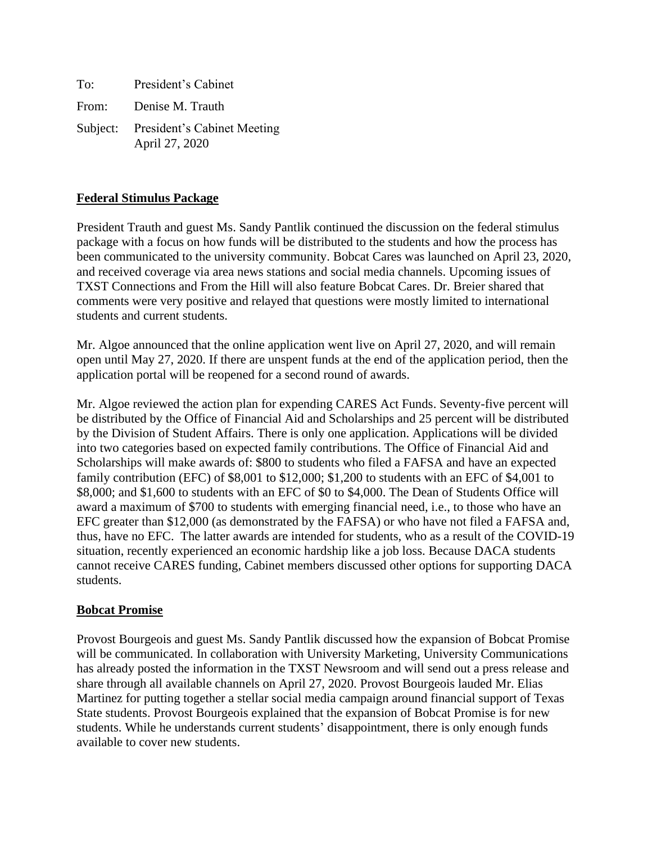| To: | President's Cabinet                                    |
|-----|--------------------------------------------------------|
|     | From: Denise M. Trauth                                 |
|     | Subject: President's Cabinet Meeting<br>April 27, 2020 |

# **Federal Stimulus Package**

President Trauth and guest Ms. Sandy Pantlik continued the discussion on the federal stimulus package with a focus on how funds will be distributed to the students and how the process has been communicated to the university community. Bobcat Cares was launched on April 23, 2020, and received coverage via area news stations and social media channels. Upcoming issues of TXST Connections and From the Hill will also feature Bobcat Cares. Dr. Breier shared that comments were very positive and relayed that questions were mostly limited to international students and current students.

Mr. Algoe announced that the online application went live on April 27, 2020, and will remain open until May 27, 2020. If there are unspent funds at the end of the application period, then the application portal will be reopened for a second round of awards.

Mr. Algoe reviewed the action plan for expending CARES Act Funds. Seventy-five percent will be distributed by the Office of Financial Aid and Scholarships and 25 percent will be distributed by the Division of Student Affairs. There is only one application. Applications will be divided into two categories based on expected family contributions. The Office of Financial Aid and Scholarships will make awards of: \$800 to students who filed a FAFSA and have an expected family contribution (EFC) of \$8,001 to \$12,000; \$1,200 to students with an EFC of \$4,001 to \$8,000; and \$1,600 to students with an EFC of \$0 to \$4,000. The Dean of Students Office will award a maximum of \$700 to students with emerging financial need, i.e., to those who have an EFC greater than \$12,000 (as demonstrated by the FAFSA) or who have not filed a FAFSA and, thus, have no EFC. The latter awards are intended for students, who as a result of the COVID-19 situation, recently experienced an economic hardship like a job loss. Because DACA students cannot receive CARES funding, Cabinet members discussed other options for supporting DACA students.

# **Bobcat Promise**

Provost Bourgeois and guest Ms. Sandy Pantlik discussed how the expansion of Bobcat Promise will be communicated. In collaboration with University Marketing, University Communications has already posted the information in the TXST Newsroom and will send out a press release and share through all available channels on April 27, 2020. Provost Bourgeois lauded Mr. Elias Martinez for putting together a stellar social media campaign around financial support of Texas State students. Provost Bourgeois explained that the expansion of Bobcat Promise is for new students. While he understands current students' disappointment, there is only enough funds available to cover new students.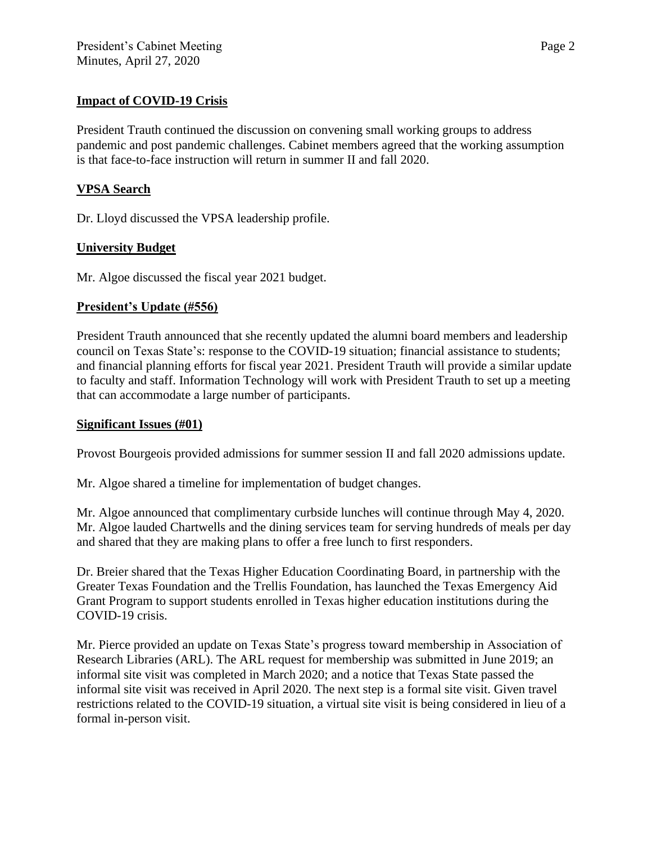### **Impact of COVID-19 Crisis**

President Trauth continued the discussion on convening small working groups to address pandemic and post pandemic challenges. Cabinet members agreed that the working assumption is that face-to-face instruction will return in summer II and fall 2020.

### **VPSA Search**

Dr. Lloyd discussed the VPSA leadership profile.

### **University Budget**

Mr. Algoe discussed the fiscal year 2021 budget.

### **President's Update (#556)**

President Trauth announced that she recently updated the alumni board members and leadership council on Texas State's: response to the COVID-19 situation; financial assistance to students; and financial planning efforts for fiscal year 2021. President Trauth will provide a similar update to faculty and staff. Information Technology will work with President Trauth to set up a meeting that can accommodate a large number of participants.

#### **Significant Issues (#01)**

Provost Bourgeois provided admissions for summer session II and fall 2020 admissions update.

Mr. Algoe shared a timeline for implementation of budget changes.

Mr. Algoe announced that complimentary curbside lunches will continue through May 4, 2020. Mr. Algoe lauded Chartwells and the dining services team for serving hundreds of meals per day and shared that they are making plans to offer a free lunch to first responders.

Dr. Breier shared that the Texas Higher Education Coordinating Board, in partnership with the Greater Texas Foundation and the Trellis Foundation, has launched the Texas Emergency Aid Grant Program to support students enrolled in Texas higher education institutions during the COVID-19 crisis.

Mr. Pierce provided an update on Texas State's progress toward membership in Association of Research Libraries (ARL). The ARL request for membership was submitted in June 2019; an informal site visit was completed in March 2020; and a notice that Texas State passed the informal site visit was received in April 2020. The next step is a formal site visit. Given travel restrictions related to the COVID-19 situation, a virtual site visit is being considered in lieu of a formal in-person visit.